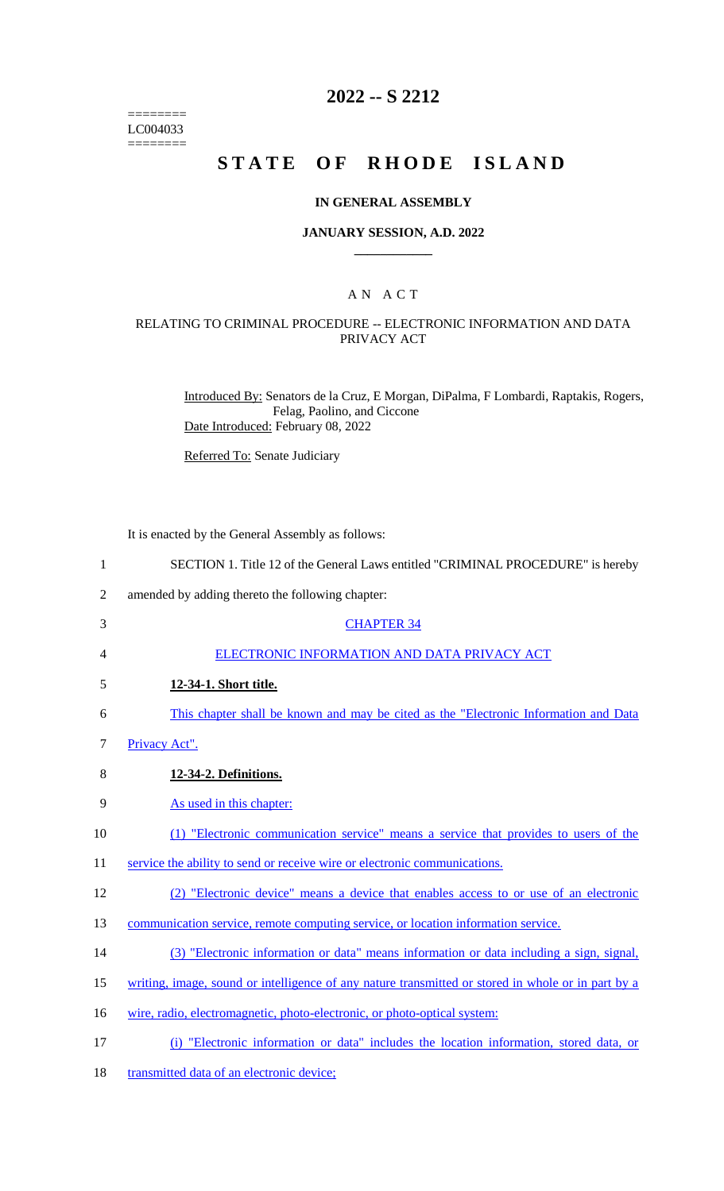======== LC004033  $=$ 

# **2022 -- S 2212**

# **STATE OF RHODE ISLAND**

### **IN GENERAL ASSEMBLY**

### **JANUARY SESSION, A.D. 2022 \_\_\_\_\_\_\_\_\_\_\_\_**

### A N A C T

## RELATING TO CRIMINAL PROCEDURE -- ELECTRONIC INFORMATION AND DATA PRIVACY ACT

Introduced By: Senators de la Cruz, E Morgan, DiPalma, F Lombardi, Raptakis, Rogers, Felag, Paolino, and Ciccone Date Introduced: February 08, 2022

Referred To: Senate Judiciary

It is enacted by the General Assembly as follows:

| $\mathbf{1}$   | SECTION 1. Title 12 of the General Laws entitled "CRIMINAL PROCEDURE" is hereby                    |
|----------------|----------------------------------------------------------------------------------------------------|
| $\overline{2}$ | amended by adding thereto the following chapter:                                                   |
| 3              | <b>CHAPTER 34</b>                                                                                  |
| 4              | ELECTRONIC INFORMATION AND DATA PRIVACY ACT                                                        |
| 5              | 12-34-1. Short title.                                                                              |
| 6              | This chapter shall be known and may be cited as the "Electronic Information and Data"              |
| 7              | Privacy Act".                                                                                      |
| 8              | 12-34-2. Definitions.                                                                              |
| 9              | As used in this chapter:                                                                           |
| 10             | (1) "Electronic communication service" means a service that provides to users of the               |
| 11             | service the ability to send or receive wire or electronic communications.                          |
| 12             | (2) "Electronic device" means a device that enables access to or use of an electronic              |
| 13             | communication service, remote computing service, or location information service.                  |
| 14             | (3) "Electronic information or data" means information or data including a sign, signal,           |
| 15             | writing, image, sound or intelligence of any nature transmitted or stored in whole or in part by a |
| 16             | wire, radio, electromagnetic, photo-electronic, or photo-optical system:                           |
| 17             | (i) "Electronic information or data" includes the location information, stored data, or            |
|                |                                                                                                    |

18 transmitted data of an electronic device;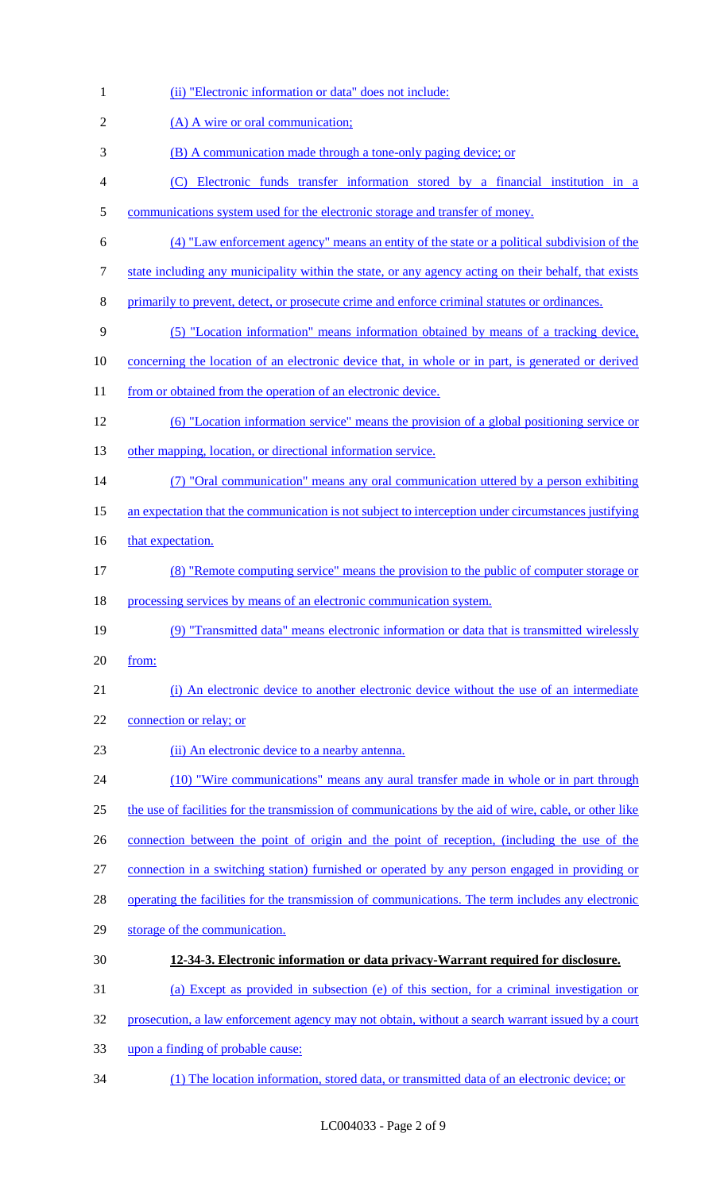| $\mathbf{1}$   | (ii) "Electronic information or data" does not include:                                                   |
|----------------|-----------------------------------------------------------------------------------------------------------|
| $\overline{2}$ | (A) A wire or oral communication;                                                                         |
| 3              | (B) A communication made through a tone-only paging device; or                                            |
| $\overline{4}$ | (C) Electronic funds transfer information stored by a financial institution in a                          |
| $\mathfrak{S}$ | communications system used for the electronic storage and transfer of money.                              |
| 6              | (4) "Law enforcement agency" means an entity of the state or a political subdivision of the               |
| $\tau$         | state including any municipality within the state, or any agency acting on their behalf, that exists      |
| $8\,$          | primarily to prevent, detect, or prosecute crime and enforce criminal statutes or ordinances.             |
| 9              | (5) "Location information" means information obtained by means of a tracking device,                      |
| 10             | <u>concerning the location of an electronic device that, in whole or in part, is generated or derived</u> |
| 11             | from or obtained from the operation of an electronic device.                                              |
| 12             | (6) "Location information service" means the provision of a global positioning service or                 |
| 13             | other mapping, location, or directional information service.                                              |
| 14             | (7) "Oral communication" means any oral communication uttered by a person exhibiting                      |
| 15             | an expectation that the communication is not subject to interception under circumstances justifying       |
| 16             | that expectation.                                                                                         |
| 17             | (8) "Remote computing service" means the provision to the public of computer storage or                   |
| 18             | processing services by means of an electronic communication system.                                       |
| 19             | (9) "Transmitted data" means electronic information or data that is transmitted wirelessly                |
| 20             | from:                                                                                                     |
| 21             | (i) An electronic device to another electronic device without the use of an intermediate                  |
| 22             | connection or relay; or                                                                                   |
| 23             | (ii) An electronic device to a nearby antenna.                                                            |
| 24             | (10) "Wire communications" means any aural transfer made in whole or in part through                      |
| 25             | the use of facilities for the transmission of communications by the aid of wire, cable, or other like     |
| 26             | connection between the point of origin and the point of reception, (including the use of the              |
| 27             | connection in a switching station) furnished or operated by any person engaged in providing or            |
| 28             | operating the facilities for the transmission of communications. The term includes any electronic         |
| 29             | storage of the communication.                                                                             |
| 30             | 12-34-3. Electronic information or data privacy-Warrant required for disclosure.                          |
| 31             | (a) Except as provided in subsection (e) of this section, for a criminal investigation or                 |
| 32             | prosecution, a law enforcement agency may not obtain, without a search warrant issued by a court          |
| 33             | upon a finding of probable cause:                                                                         |
| 34             | (1) The location information, stored data, or transmitted data of an electronic device; or                |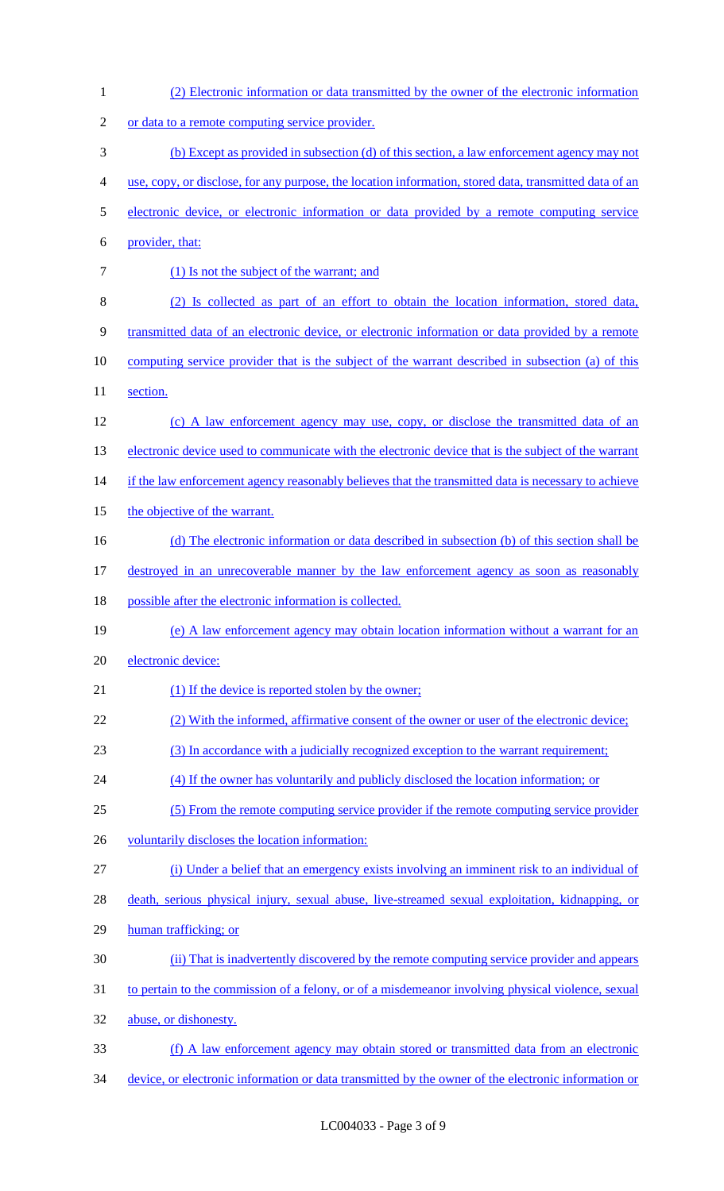| $\mathbf{1}$   | (2) Electronic information or data transmitted by the owner of the electronic information              |
|----------------|--------------------------------------------------------------------------------------------------------|
| $\overline{c}$ | or data to a remote computing service provider.                                                        |
| 3              | (b) Except as provided in subsection (d) of this section, a law enforcement agency may not             |
| $\overline{4}$ | use, copy, or disclose, for any purpose, the location information, stored data, transmitted data of an |
| 5              | electronic device, or electronic information or data provided by a remote computing service            |
| 6              | provider, that:                                                                                        |
| $\tau$         | (1) Is not the subject of the warrant; and                                                             |
| $8\,$          | (2) Is collected as part of an effort to obtain the location information, stored data,                 |
| 9              | transmitted data of an electronic device, or electronic information or data provided by a remote       |
| 10             | computing service provider that is the subject of the warrant described in subsection (a) of this      |
| 11             | section.                                                                                               |
| 12             | (c) A law enforcement agency may use, copy, or disclose the transmitted data of an                     |
| 13             | electronic device used to communicate with the electronic device that is the subject of the warrant    |
| 14             | if the law enforcement agency reasonably believes that the transmitted data is necessary to achieve    |
| 15             | the objective of the warrant.                                                                          |
| 16             | (d) The electronic information or data described in subsection (b) of this section shall be            |
| 17             | destroyed in an unrecoverable manner by the law enforcement agency as soon as reasonably               |
|                |                                                                                                        |
| 18             | possible after the electronic information is collected.                                                |
| 19             | (e) A law enforcement agency may obtain location information without a warrant for an                  |
| 20             | electronic device:                                                                                     |
| 21             | (1) If the device is reported stolen by the owner;                                                     |
| 22             | (2) With the informed, affirmative consent of the owner or user of the electronic device;              |
| 23             | (3) In accordance with a judicially recognized exception to the warrant requirement;                   |
| 24             | (4) If the owner has voluntarily and publicly disclosed the location information; or                   |
| 25             | (5) From the remote computing service provider if the remote computing service provider                |
| 26             | voluntarily discloses the location information:                                                        |
| 27             | (i) Under a belief that an emergency exists involving an imminent risk to an individual of             |
| 28             | death, serious physical injury, sexual abuse, live-streamed sexual exploitation, kidnapping, or        |
| 29             | human trafficking; or                                                                                  |
| 30             | (ii) That is inadvertently discovered by the remote computing service provider and appears             |
| 31             | to pertain to the commission of a felony, or of a misdemeanor involving physical violence, sexual      |
| 32             | abuse, or dishonesty.                                                                                  |
| 33             | (f) A law enforcement agency may obtain stored or transmitted data from an electronic                  |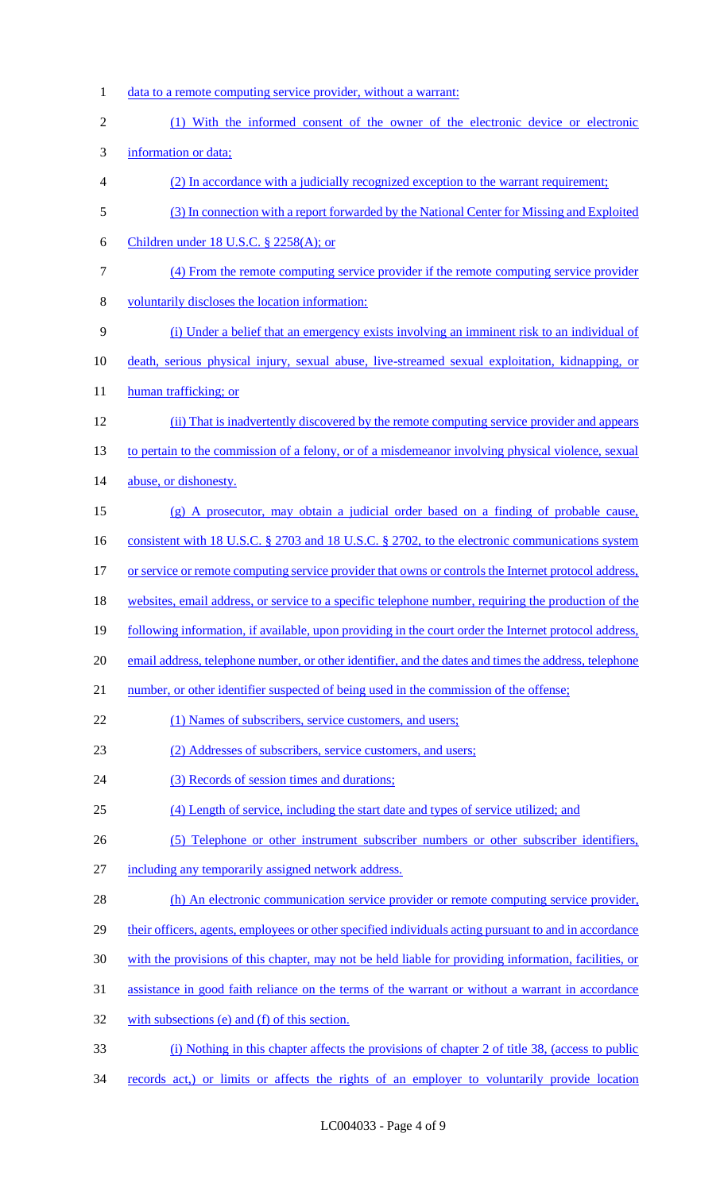1 data to a remote computing service provider, without a warrant: (1) With the informed consent of the owner of the electronic device or electronic information or data; (2) In accordance with a judicially recognized exception to the warrant requirement; (3) In connection with a report forwarded by the National Center for Missing and Exploited Children under 18 U.S.C. § 2258(A); or (4) From the remote computing service provider if the remote computing service provider voluntarily discloses the location information: (i) Under a belief that an emergency exists involving an imminent risk to an individual of death, serious physical injury, sexual abuse, live-streamed sexual exploitation, kidnapping, or 11 human trafficking; or 12 (ii) That is inadvertently discovered by the remote computing service provider and appears 13 to pertain to the commission of a felony, or of a misdemeanor involving physical violence, sexual 14 abuse, or dishonesty. (g) A prosecutor, may obtain a judicial order based on a finding of probable cause, 16 consistent with 18 U.S.C. § 2703 and 18 U.S.C. § 2702, to the electronic communications system 17 or service or remote computing service provider that owns or controls the Internet protocol address, websites, email address, or service to a specific telephone number, requiring the production of the following information, if available, upon providing in the court order the Internet protocol address, email address, telephone number, or other identifier, and the dates and times the address, telephone 21 number, or other identifier suspected of being used in the commission of the offense; 22 (1) Names of subscribers, service customers, and users; (2) Addresses of subscribers, service customers, and users; 24 (3) Records of session times and durations; (4) Length of service, including the start date and types of service utilized; and (5) Telephone or other instrument subscriber numbers or other subscriber identifiers, including any temporarily assigned network address. 28 (h) An electronic communication service provider or remote computing service provider, their officers, agents, employees or other specified individuals acting pursuant to and in accordance with the provisions of this chapter, may not be held liable for providing information, facilities, or assistance in good faith reliance on the terms of the warrant or without a warrant in accordance with subsections (e) and (f) of this section. (i) Nothing in this chapter affects the provisions of chapter 2 of title 38, (access to public 34 records act,) or limits or affects the rights of an employer to voluntarily provide location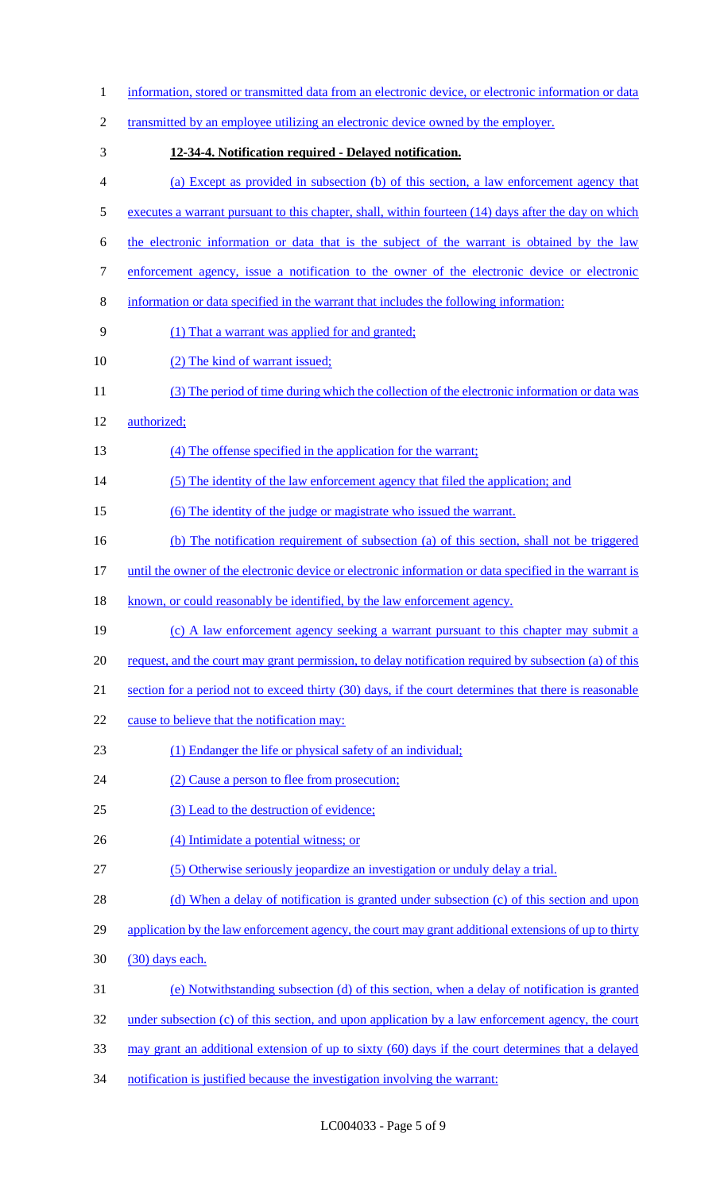| $\mathbf{1}$   | information, stored or transmitted data from an electronic device, or electronic information or data   |
|----------------|--------------------------------------------------------------------------------------------------------|
| $\overline{c}$ | transmitted by an employee utilizing an electronic device owned by the employer.                       |
| 3              | 12-34-4. Notification required - Delayed notification.                                                 |
| 4              | (a) Except as provided in subsection (b) of this section, a law enforcement agency that                |
| 5              | executes a warrant pursuant to this chapter, shall, within fourteen (14) days after the day on which   |
| 6              | the electronic information or data that is the subject of the warrant is obtained by the law           |
| $\tau$         | enforcement agency, issue a notification to the owner of the electronic device or electronic           |
| $8\,$          | information or data specified in the warrant that includes the following information:                  |
| 9              | (1) That a warrant was applied for and granted;                                                        |
| 10             | (2) The kind of warrant issued;                                                                        |
| 11             | (3) The period of time during which the collection of the electronic information or data was           |
| 12             | authorized;                                                                                            |
| 13             | (4) The offense specified in the application for the warrant;                                          |
| 14             | (5) The identity of the law enforcement agency that filed the application; and                         |
| 15             | (6) The identity of the judge or magistrate who issued the warrant.                                    |
| 16             | (b) The notification requirement of subsection (a) of this section, shall not be triggered             |
| 17             | until the owner of the electronic device or electronic information or data specified in the warrant is |
| 18             | known, or could reasonably be identified, by the law enforcement agency.                               |
| 19             | (c) A law enforcement agency seeking a warrant pursuant to this chapter may submit a                   |
| 20             | request, and the court may grant permission, to delay notification required by subsection (a) of this  |
| 21             | section for a period not to exceed thirty (30) days, if the court determines that there is reasonable  |
| 22             | cause to believe that the notification may:                                                            |
| 23             | (1) Endanger the life or physical safety of an individual;                                             |
| 24             | (2) Cause a person to flee from prosecution;                                                           |
| 25             | (3) Lead to the destruction of evidence;                                                               |
| 26             | (4) Intimidate a potential witness; or                                                                 |
| 27             | (5) Otherwise seriously jeopardize an investigation or unduly delay a trial.                           |
| 28             | (d) When a delay of notification is granted under subsection (c) of this section and upon              |
| 29             | application by the law enforcement agency, the court may grant additional extensions of up to thirty   |
| 30             | (30) days each.                                                                                        |
| 31             | (e) Notwithstanding subsection (d) of this section, when a delay of notification is granted            |
| 32             | under subsection (c) of this section, and upon application by a law enforcement agency, the court      |
| 33             | may grant an additional extension of up to sixty (60) days if the court determines that a delayed      |
| 34             | notification is justified because the investigation involving the warrant:                             |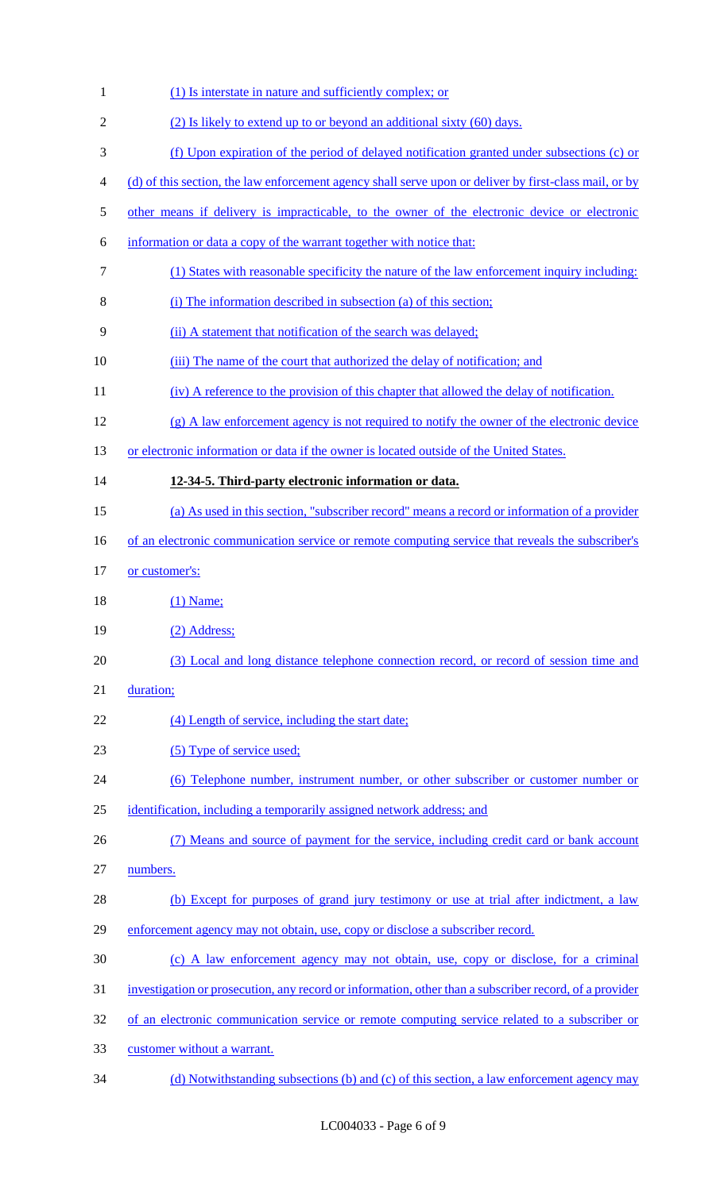| $\mathbf{1}$   | (1) Is interstate in nature and sufficiently complex; or                                               |
|----------------|--------------------------------------------------------------------------------------------------------|
| $\mathfrak{2}$ | (2) Is likely to extend up to or beyond an additional sixty (60) days.                                 |
| 3              | (f) Upon expiration of the period of delayed notification granted under subsections (c) or             |
| $\overline{4}$ | (d) of this section, the law enforcement agency shall serve upon or deliver by first-class mail, or by |
| $\mathfrak s$  | other means if delivery is impracticable, to the owner of the electronic device or electronic          |
| 6              | information or data a copy of the warrant together with notice that:                                   |
| $\overline{7}$ | (1) States with reasonable specificity the nature of the law enforcement inquiry including:            |
| 8              | (i) The information described in subsection (a) of this section;                                       |
| 9              | (ii) A statement that notification of the search was delayed;                                          |
| 10             | (iii) The name of the court that authorized the delay of notification; and                             |
| 11             | (iv) A reference to the provision of this chapter that allowed the delay of notification.              |
| 12             | $(g)$ A law enforcement agency is not required to notify the owner of the electronic device            |
| 13             | or electronic information or data if the owner is located outside of the United States.                |
| 14             | 12-34-5. Third-party electronic information or data.                                                   |
| 15             | (a) As used in this section, "subscriber record" means a record or information of a provider           |
| 16             | of an electronic communication service or remote computing service that reveals the subscriber's       |
| 17             | or customer's:                                                                                         |
| 18             | $(1)$ Name;                                                                                            |
| 19             | $(2)$ Address;                                                                                         |
| 20             | (3) Local and long distance telephone connection record, or record of session time and                 |
| 21             | duration;                                                                                              |
| 22             | (4) Length of service, including the start date;                                                       |
| 23             | (5) Type of service used;                                                                              |
| 24             | (6) Telephone number, instrument number, or other subscriber or customer number or                     |
| 25             | identification, including a temporarily assigned network address; and                                  |
| 26             | (7) Means and source of payment for the service, including credit card or bank account                 |
| 27             | numbers.                                                                                               |
| 28             | (b) Except for purposes of grand jury testimony or use at trial after indictment, a law                |
| 29             | enforcement agency may not obtain, use, copy or disclose a subscriber record.                          |
| 30             | (c) A law enforcement agency may not obtain, use, copy or disclose, for a criminal                     |
| 31             | investigation or prosecution, any record or information, other than a subscriber record, of a provider |
| 32             | of an electronic communication service or remote computing service related to a subscriber or          |
| 33             | customer without a warrant.                                                                            |
| 34             | (d) Notwithstanding subsections (b) and (c) of this section, a law enforcement agency may              |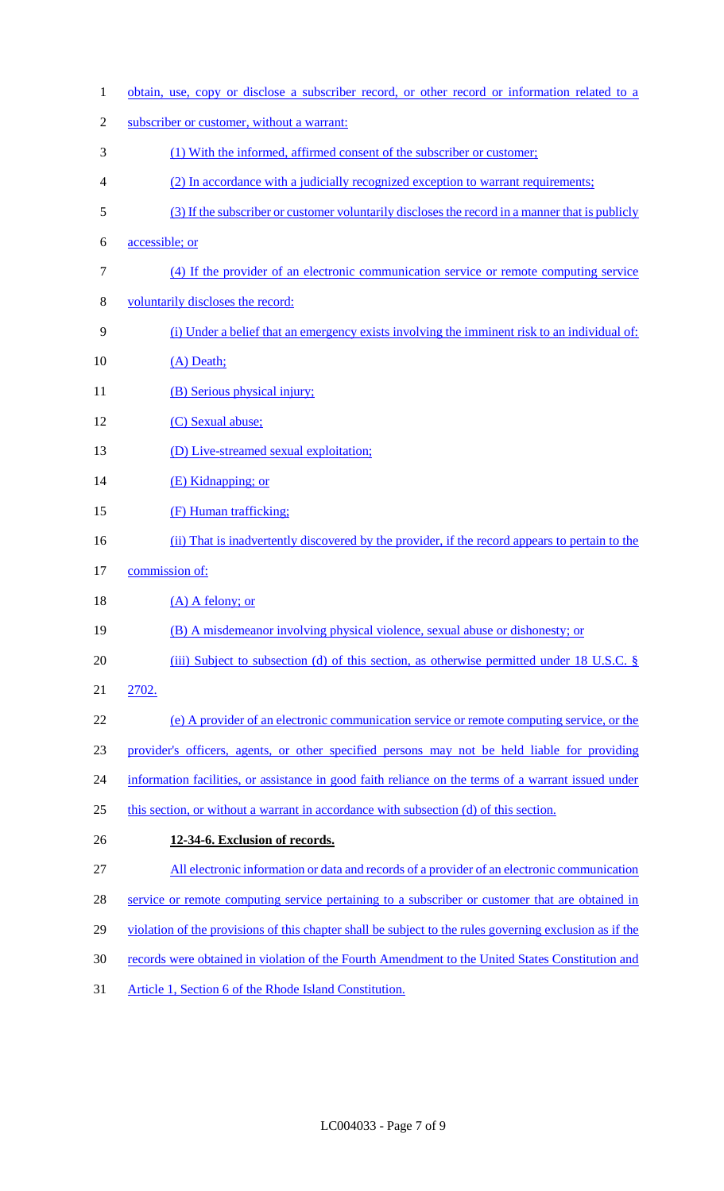| $\mathbf{1}$   | obtain, use, copy or disclose a subscriber record, or other record or information related to a          |
|----------------|---------------------------------------------------------------------------------------------------------|
| $\overline{c}$ | subscriber or customer, without a warrant:                                                              |
| 3              | (1) With the informed, affirmed consent of the subscriber or customer;                                  |
| 4              | (2) In accordance with a judicially recognized exception to warrant requirements;                       |
| 5              | (3) If the subscriber or customer voluntarily discloses the record in a manner that is publicly         |
| 6              | accessible; or                                                                                          |
| 7              | (4) If the provider of an electronic communication service or remote computing service                  |
| 8              | voluntarily discloses the record:                                                                       |
| 9              | (i) Under a belief that an emergency exists involving the imminent risk to an individual of:            |
| 10             | (A) Death;                                                                                              |
| 11             | (B) Serious physical injury;                                                                            |
| 12             | (C) Sexual abuse;                                                                                       |
| 13             | (D) Live-streamed sexual exploitation;                                                                  |
| 14             | (E) Kidnapping; or                                                                                      |
| 15             | (F) Human trafficking;                                                                                  |
| 16             | (ii) That is inadvertently discovered by the provider, if the record appears to pertain to the          |
| 17             | commission of:                                                                                          |
| 18             | $(A)$ A felony; or                                                                                      |
| 19             | (B) A misdemeanor involving physical violence, sexual abuse or dishonesty; or                           |
| 20             | (iii) Subject to subsection (d) of this section, as otherwise permitted under 18 U.S.C. $\S$            |
| 21             | 2702.                                                                                                   |
| 22             | (e) A provider of an electronic communication service or remote computing service, or the               |
| 23             | provider's officers, agents, or other specified persons may not be held liable for providing            |
| 24             | information facilities, or assistance in good faith reliance on the terms of a warrant issued under     |
| 25             | this section, or without a warrant in accordance with subsection (d) of this section.                   |
| 26             | 12-34-6. Exclusion of records.                                                                          |
| 27             | All electronic information or data and records of a provider of an electronic communication             |
| 28             | service or remote computing service pertaining to a subscriber or customer that are obtained in         |
| 29             | violation of the provisions of this chapter shall be subject to the rules governing exclusion as if the |
| 30             | records were obtained in violation of the Fourth Amendment to the United States Constitution and        |
| 31             | Article 1, Section 6 of the Rhode Island Constitution.                                                  |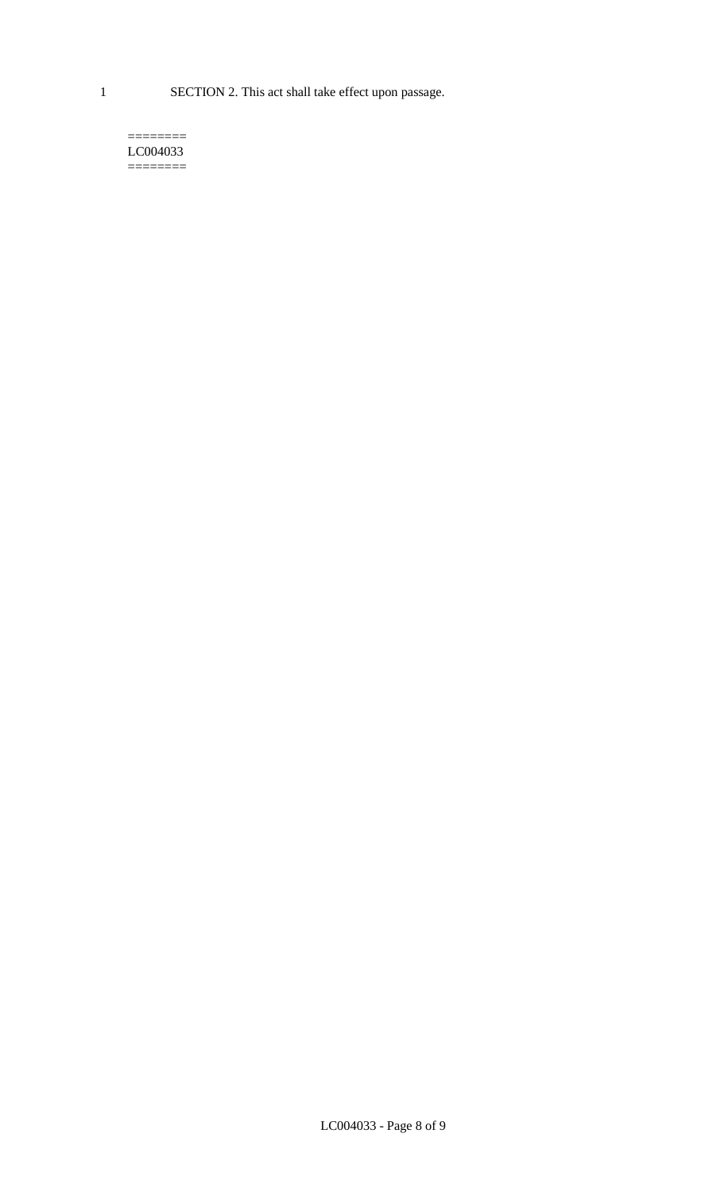1 SECTION 2. This act shall take effect upon passage.

#### $=$ LC004033  $=$